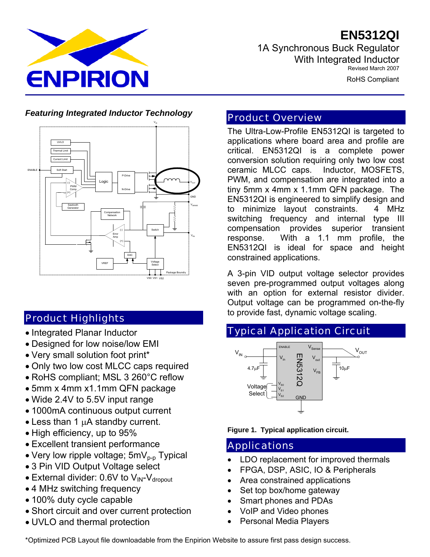**EN5312QI**



1A Synchronous Buck Regulator With Integrated Inductor Revised March 2007

RoHS Compliant

#### *Featuring Integrated Inductor Technology*



# Product Highlights

- Integrated Planar Inductor
- Designed for low noise/low EMI
- Very small solution foot print\*
- Only two low cost MLCC caps required
- RoHS compliant; MSL 3 260°C reflow
- 5mm x 4mm x1.1mm QFN package
- Wide 2.4V to 5.5V input range
- 1000mA continuous output current
- Less than 1  $\mu$ A standby current.
- High efficiency, up to 95%
- Excellent transient performance
- Very low ripple voltage;  $5mV_{p-p}$  Typical
- 3 Pin VID Output Voltage select
- External divider: 0.6V to  $V_{IN}$ - $V_{\text{dropout}}$
- 4 MHz switching frequency
- 100% duty cycle capable
- Short circuit and over current protection
- UVLO and thermal protection

# Product Overview

The Ultra-Low-Profile EN5312QI is targeted to applications where board area and profile are critical. EN5312QI is a complete power conversion solution requiring only two low cost ceramic MLCC caps. Inductor, MOSFETS, PWM, and compensation are integrated into a tiny 5mm x 4mm x 1.1mm QFN package. The EN5312QI is engineered to simplify design and to minimize layout constraints. 4 MHz switching frequency and internal type III compensation provides superior transient response. With a 1.1 mm profile, the EN5312QI is ideal for space and height constrained applications.

A 3-pin VID output voltage selector provides seven pre-programmed output voltages along with an option for external resistor divider. Output voltage can be programmed on-the-fly to provide fast, dynamic voltage scaling.

# Typical Application Circuit



**Figure 1. Typical application circuit.** 

# Applications

- LDO replacement for improved thermals
- FPGA, DSP, ASIC, IO & Peripherals
- Area constrained applications
- Set top box/home gateway
- Smart phones and PDAs
- VoIP and Video phones
- Personal Media Players

\*Optimized PCB Layout file downloadable from the Enpirion Website to assure first pass design success.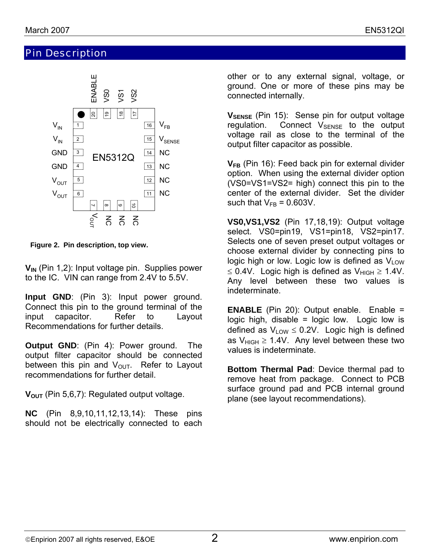# Pin Description



**Figure 2. Pin description, top view.**

**V<sub>IN</sub>** (Pin 1,2): Input voltage pin. Supplies power to the IC. VIN can range from 2.4V to 5.5V.

**Input GND**: (Pin 3): Input power ground. Connect this pin to the ground terminal of the input capacitor. Refer to Layout Recommendations for further details.

**Output GND**: (Pin 4): Power ground. The output filter capacitor should be connected between this pin and  $V_{\text{OUT}}$ . Refer to Layout recommendations for further detail.

V<sub>OUT</sub> (Pin 5,6,7): Regulated output voltage.

**NC** (Pin 8,9,10,11,12,13,14): These pins should not be electrically connected to each

other or to any external signal, voltage, or ground. One or more of these pins may be connected internally.

**V**SENSE (Pin 15): Sense pin for output voltage regulation. Connect  $V_{\text{SENSE}}$  to the output voltage rail as close to the terminal of the output filter capacitor as possible.

**V<sub>FB</sub>** (Pin 16): Feed back pin for external divider option. When using the external divider option (VS0=VS1=VS2= high) connect this pin to the center of the external divider. Set the divider such that  $V_{FB} = 0.603V$ .

**VS0,VS1,VS2** (Pin 17,18,19): Output voltage select. VS0=pin19, VS1=pin18, VS2=pin17. Selects one of seven preset output voltages or choose external divider by connecting pins to logic high or low. Logic low is defined as  $V_{\text{LOW}}$ ≤ 0.4V. Logic high is defined as  $V_{HIGH} \ge 1.4V$ . Any level between these two values is indeterminate.

**ENABLE** (Pin 20): Output enable. Enable = logic high, disable  $=$  logic low. Logic low is defined as  $V_{\text{low}} \leq 0.2V$ . Logic high is defined as  $V_{HIGH} \ge 1.4V$ . Any level between these two values is indeterminate.

**Bottom Thermal Pad**: Device thermal pad to remove heat from package. Connect to PCB surface ground pad and PCB internal ground plane (see layout recommendations).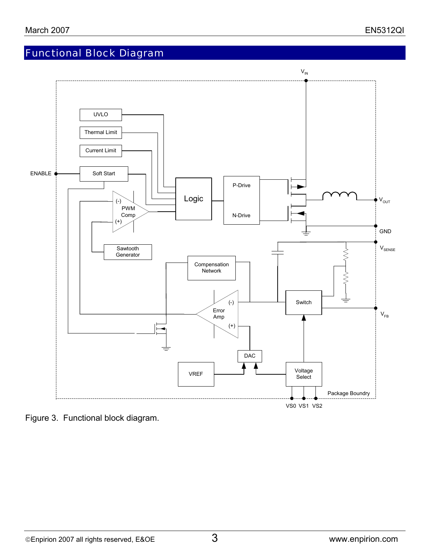# Functional Block Diagram



Figure 3. Functional block diagram.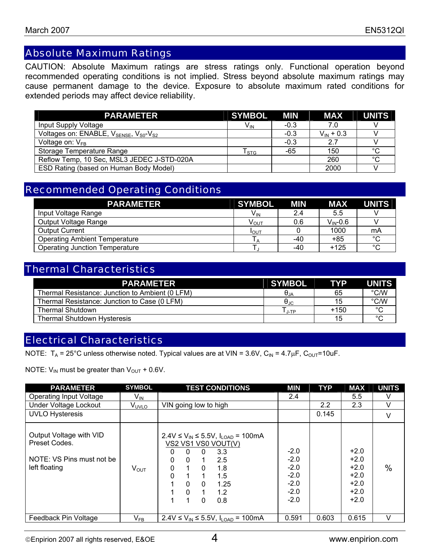# Absolute Maximum Ratings

CAUTION: Absolute Maximum ratings are stress ratings only. Functional operation beyond recommended operating conditions is not implied. Stress beyond absolute maximum ratings may cause permanent damage to the device. Exposure to absolute maximum rated conditions for extended periods may affect device reliability.

| <b>PARAMETER</b>                                                           | <b>SYMBOL</b>          | <b>MIN</b> | <b>MAX</b>     | <b>UNITS</b> |
|----------------------------------------------------------------------------|------------------------|------------|----------------|--------------|
| Input Supply Voltage                                                       | V <sub>IN</sub>        | $-0.3$     | 7.0            |              |
| Voltages on: ENABLE, V <sub>SENSE</sub> , V <sub>S0</sub> -V <sub>S2</sub> |                        | $-0.3$     | $V_{IN}$ + 0.3 |              |
| Voltage on: $V_{FB}$                                                       |                        | $-0.3$     | 2.7            |              |
| Storage Temperature Range                                                  | ${\sf T}_{\text{STG}}$ | -65        | 150            | $^{\circ}$ C |
| Reflow Temp, 10 Sec, MSL3 JEDEC J-STD-020A                                 |                        |            | 260            | °С           |
| ESD Rating (based on Human Body Model)                                     |                        |            | 2000           |              |

# Recommended Operating Conditions

| <b>PARAMETER</b>                      | <b>SYMBOL</b>   | <b>MIN</b> | <b>MAX</b>          | <b>UNITS</b> |
|---------------------------------------|-----------------|------------|---------------------|--------------|
| Input Voltage Range                   | $V_{\text{IN}}$ | 2.4        | 5.5                 |              |
| Output Voltage Range                  | Ѵ <sub>ѹт</sub> | 0.6        | $V_{\text{IN}}-0.6$ |              |
| <b>Output Current</b>                 | IOUT            |            | 1000                | mA           |
| <b>Operating Ambient Temperature</b>  | $\overline{A}$  | -40        | +85                 | $\sim$       |
| <b>Operating Junction Temperature</b> |                 | -40        | $+125$              | $\sim$       |

# Thermal Characteristics

| <b>PARAMETER</b>                                | <b>SYMBOL</b>          | <b>TYP</b> | <b>UNITS</b> |
|-------------------------------------------------|------------------------|------------|--------------|
| Thermal Resistance: Junction to Ambient (0 LFM) | $\Theta_{\mathsf{JA}}$ | 65         | °C/W         |
| Thermal Resistance: Junction to Case (0 LFM)    | $\Theta_{\text{JC}}$   | 15         | °C/W         |
| <b>Thermal Shutdown</b>                         | J-TP                   | $+150$     | $\circ$      |
| <b>Thermal Shutdown Hysteresis</b>              |                        | 15         | $\circ$      |

# Electrical Characteristics

NOTE:  $T_A = 25^{\circ}$ C unless otherwise noted. Typical values are at VIN = 3.6V, C<sub>IN</sub> = 4.7 $\mu$ F, C<sub>OUT</sub>=10uF.

NOTE:  $V_{IN}$  must be greater than  $V_{OUT}$  + 0.6V.

| <b>PARAMETER</b>                                                                       | <b>SYMBOL</b>              | <b>TEST CONDITIONS</b>                                                                                                                                                                                                                                                                         | <b>MIN</b>                                                         | <b>TYP</b>    | <b>MAX</b>                                                         | <b>UNITS</b>  |
|----------------------------------------------------------------------------------------|----------------------------|------------------------------------------------------------------------------------------------------------------------------------------------------------------------------------------------------------------------------------------------------------------------------------------------|--------------------------------------------------------------------|---------------|--------------------------------------------------------------------|---------------|
| <b>Operating Input Voltage</b>                                                         | $V_{\sf IN}$               |                                                                                                                                                                                                                                                                                                | 2.4                                                                |               | 5.5                                                                | v             |
| Under Voltage Lockout                                                                  | V <sub>UVLO</sub>          | VIN going low to high                                                                                                                                                                                                                                                                          |                                                                    | $2.2^{\circ}$ | 2.3                                                                | V             |
| <b>UVLO Hysteresis</b>                                                                 |                            |                                                                                                                                                                                                                                                                                                |                                                                    | 0.145         |                                                                    | V             |
| Output Voltage with VID<br>Preset Codes.<br>NOTE: VS Pins must not be<br>left floating | $V_{\text{OUT}}$           | $2.4$ V ≤ V <sub>IN</sub> ≤ 5.5V, I <sub>LOAD</sub> = 100mA<br>VS2 VS1 VS0 VOUT(V)<br>3.3<br>$\Omega$<br>0<br>0<br>$\Omega$<br>2.5<br>0<br>$\mathbf{1}$<br>$\Omega$<br>1.8<br>$\Omega$<br>0<br>1<br>1.5<br>$\mathbf{0}$<br>1.25<br>$\Omega$<br>$\mathbf{0}$<br>1.2<br>$\mathbf{1}$<br>0.8<br>0 | $-2.0$<br>$-2.0$<br>$-2.0$<br>$-2.0$<br>$-2.0$<br>$-2.0$<br>$-2.0$ |               | $+2.0$<br>$+2.0$<br>$+2.0$<br>$+2.0$<br>$+2.0$<br>$+2.0$<br>$+2.0$ | $\frac{0}{0}$ |
| Feedback Pin Voltage                                                                   | $\mathsf{V}_{\mathsf{FB}}$ | 2.4V ≤ $V_{IN}$ ≤ 5.5V, $I_{LOAD}$ = 100mA                                                                                                                                                                                                                                                     | 0.591                                                              | 0.603         | 0.615                                                              | $\vee$        |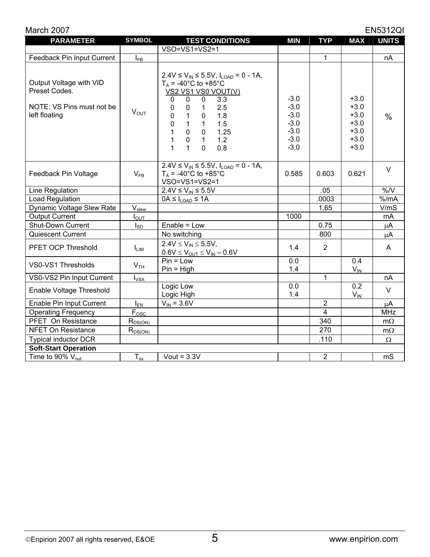| March 2007                                                                             |                    |                                                                                                                                                                                                                                                                                                                                                                                                                                 |                                                                    |                |                                                                    | <b>EN5312QI</b> |
|----------------------------------------------------------------------------------------|--------------------|---------------------------------------------------------------------------------------------------------------------------------------------------------------------------------------------------------------------------------------------------------------------------------------------------------------------------------------------------------------------------------------------------------------------------------|--------------------------------------------------------------------|----------------|--------------------------------------------------------------------|-----------------|
| <b>PARAMETER</b>                                                                       | <b>SYMBOL</b>      | <b>TEST CONDITIONS</b>                                                                                                                                                                                                                                                                                                                                                                                                          | <b>MIN</b>                                                         | <b>TYP</b>     | <b>MAX</b>                                                         | <b>UNITS</b>    |
|                                                                                        |                    | $VSO=VS1=VS2=1$                                                                                                                                                                                                                                                                                                                                                                                                                 |                                                                    |                |                                                                    |                 |
| Feedback Pin Input Current                                                             | $I_{FB}$           |                                                                                                                                                                                                                                                                                                                                                                                                                                 |                                                                    | 1              |                                                                    | nA              |
| Output Voltage with VID<br>Preset Codes.<br>NOTE: VS Pins must not be<br>left floating | $V_{OUT}$          | $2.4V \le V_{IN} \le 5.5V$ , $I_{LOAD} = 0 - 1A$ ,<br>$T_A$ = -40°C to +85°C<br>VS2 VS1 VS0 VOUT(V)<br>$\mathbf 0$<br>3.3<br>$\mathbf 0$<br>$\mathbf 0$<br>2.5<br>$\pmb{0}$<br>$\mathbf{1}$<br>0<br>$\mathbf{1}$<br>1.8<br>0<br>$\mathbf 0$<br>$\mathbf 0$<br>$\mathbf{1}$<br>1.5<br>$\mathbf{1}$<br>$\mathbf 0$<br>1<br>$\mathbf 0$<br>1.25<br>1<br>1.2<br>$\mathbf 0$<br>$\mathbf{1}$<br>1<br>$\mathbf{1}$<br>$\Omega$<br>0.8 | $-3.0$<br>$-3.0$<br>$-3.0$<br>$-3.0$<br>$-3.0$<br>$-3.0$<br>$-3.0$ |                | $+3.0$<br>$+3.0$<br>$+3.0$<br>$+3.0$<br>$+3.0$<br>$+3.0$<br>$+3.0$ | $\%$            |
| Feedback Pin Voltage                                                                   | $V_{FB}$           | $2.4V \le V_{IN} \le 5.5V$ , $I_{LOAD} = 0 - 1A$ ,<br>$T_A$ = -40°C to +85°C<br>VSO=VS1=VS2=1                                                                                                                                                                                                                                                                                                                                   | 0.585                                                              | 0.603          | 0.621                                                              | $\vee$          |
| Line Regulation                                                                        |                    | $2.4V \leq V_{IN} \leq 5.5V$                                                                                                                                                                                                                                                                                                                                                                                                    |                                                                    | .05            |                                                                    | %N              |
| Load Regulation                                                                        |                    | $\overline{OA} \leq I_{\text{LOAD}} \leq 1$ A                                                                                                                                                                                                                                                                                                                                                                                   |                                                                    | .0003          |                                                                    | % /mA           |
| Dynamic Voltage Slew Rate                                                              | $\rm V_{\rm slew}$ |                                                                                                                                                                                                                                                                                                                                                                                                                                 |                                                                    | 1.65           |                                                                    | V/mS            |
| <b>Output Current</b>                                                                  | $I_{\text{OUT}}$   |                                                                                                                                                                                                                                                                                                                                                                                                                                 | 1000                                                               |                |                                                                    | mA              |
| Shut-Down Current                                                                      | $I_{SD}$           | Enable = Low                                                                                                                                                                                                                                                                                                                                                                                                                    |                                                                    | 0.75           |                                                                    | $\mu$ A         |
| Quiescent Current                                                                      |                    | No switching                                                                                                                                                                                                                                                                                                                                                                                                                    |                                                                    | 800            |                                                                    | μA              |
| PFET OCP Threshold                                                                     | $I_{LIM}$          | $2.4V \le V_{IN} \le 5.5V$ ,<br>$0.6V \leq V_{OUT} \leq V_{IN} - 0.6V$                                                                                                                                                                                                                                                                                                                                                          | 1.4                                                                | $\overline{2}$ |                                                                    | A               |
| VS0-VS1 Thresholds                                                                     | V <sub>TH</sub>    | $Pin = Low$<br>$Pin = High$                                                                                                                                                                                                                                                                                                                                                                                                     | 0.0<br>1.4                                                         |                | 0.4<br>$V_{IN}$                                                    |                 |
| VS0-VS2 Pin Input Current                                                              | $I_{VSX}$          |                                                                                                                                                                                                                                                                                                                                                                                                                                 |                                                                    | 1              |                                                                    | nA              |
| Enable Voltage Threshold                                                               |                    | Logic Low<br>Logic High                                                                                                                                                                                                                                                                                                                                                                                                         | 0.0<br>1.4                                                         |                | 0.2<br>$V_{IN}$                                                    | V               |
| Enable Pin Input Current                                                               | $I_{EN}$           | $V_{IN} = 3.6V$                                                                                                                                                                                                                                                                                                                                                                                                                 |                                                                    | $\overline{2}$ |                                                                    | $\mu$ A         |
| <b>Operating Frequency</b>                                                             | $F_{\text{OSC}}$   |                                                                                                                                                                                                                                                                                                                                                                                                                                 |                                                                    | $\overline{4}$ |                                                                    | <b>MHz</b>      |
| PFET On Resistance                                                                     | $R_{DS(ON)}$       |                                                                                                                                                                                                                                                                                                                                                                                                                                 |                                                                    | 340            |                                                                    | $m\Omega$       |
| <b>NFET On Resistance</b>                                                              | $R_{DS(ON)}$       |                                                                                                                                                                                                                                                                                                                                                                                                                                 |                                                                    | 270            |                                                                    | $m\Omega$       |
| <b>Typical inductor DCR</b>                                                            |                    |                                                                                                                                                                                                                                                                                                                                                                                                                                 |                                                                    | .110           |                                                                    | Ω               |
| <b>Soft-Start Operation</b>                                                            |                    |                                                                                                                                                                                                                                                                                                                                                                                                                                 |                                                                    |                |                                                                    |                 |
| Time to 90% $V_{\text{out}}$                                                           | $T_{ss}$           | Vout = $3.3V$                                                                                                                                                                                                                                                                                                                                                                                                                   |                                                                    | $\overline{2}$ |                                                                    | mS              |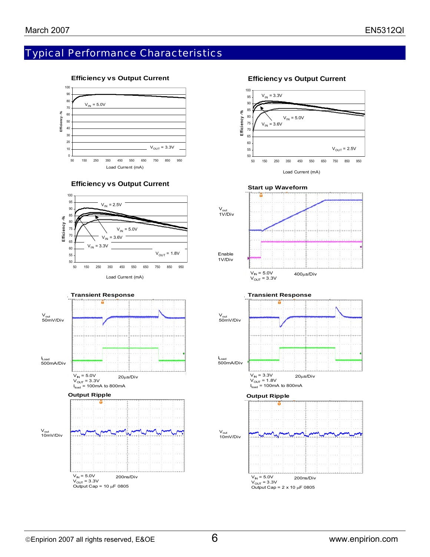# Typical Performance Characteristics



#### **Efficiency vs Output Current**









#### **Efficiency vs Output Current**



Output Cap =  $2 \times 10 \mu$ F 0805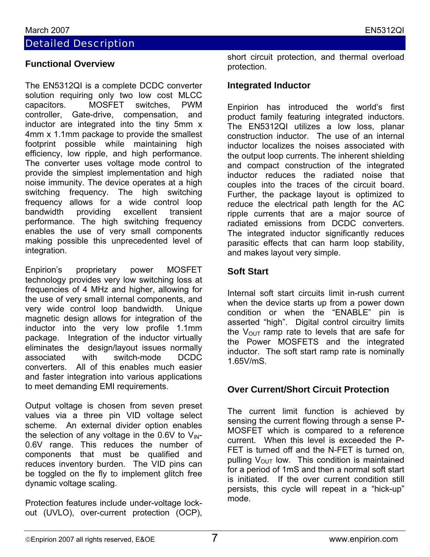# Detailed Description

#### **Functional Overview**

The EN5312QI is a complete DCDC converter solution requiring only two low cost MLCC capacitors. MOSFET switches, PWM controller, Gate-drive, compensation, and inductor are integrated into the tiny 5mm x 4mm x 1.1mm package to provide the smallest footprint possible while maintaining high efficiency, low ripple, and high performance. The converter uses voltage mode control to provide the simplest implementation and high noise immunity. The device operates at a high switching frequency. The high switching frequency allows for a wide control loop bandwidth providing excellent transient performance. The high switching frequency enables the use of very small components making possible this unprecedented level of integration.

Enpirion's proprietary power MOSFET technology provides very low switching loss at frequencies of 4 MHz and higher, allowing for the use of very small internal components, and very wide control loop bandwidth. Unique magnetic design allows for integration of the inductor into the very low profile 1.1mm package. Integration of the inductor virtually eliminates the design/layout issues normally associated with switch-mode DCDC converters. All of this enables much easier and faster integration into various applications to meet demanding EMI requirements.

Output voltage is chosen from seven preset values via a three pin VID voltage select scheme. An external divider option enables the selection of any voltage in the 0.6V to  $V_{\text{IN}}$ -0.6V range. This reduces the number of components that must be qualified and reduces inventory burden. The VID pins can be toggled on the fly to implement glitch free dynamic voltage scaling.

Protection features include under-voltage lockout (UVLO), over-current protection (OCP), short circuit protection, and thermal overload protection.

#### **Integrated Inductor**

Enpirion has introduced the world's first product family featuring integrated inductors. The EN5312QI utilizes a low loss, planar construction inductor. The use of an internal inductor localizes the noises associated with the output loop currents. The inherent shielding and compact construction of the integrated inductor reduces the radiated noise that couples into the traces of the circuit board. Further, the package layout is optimized to reduce the electrical path length for the AC ripple currents that are a major source of radiated emissions from DCDC converters. The integrated inductor significantly reduces parasitic effects that can harm loop stability, and makes layout very simple.

#### **Soft Start**

Internal soft start circuits limit in-rush current when the device starts up from a power down condition or when the "ENABLE" pin is asserted "high". Digital control circuitry limits the  $V_{\text{OUT}}$  ramp rate to levels that are safe for the Power MOSFETS and the integrated inductor. The soft start ramp rate is nominally 1.65V/mS.

#### **Over Current/Short Circuit Protection**

The current limit function is achieved by sensing the current flowing through a sense P-MOSFET which is compared to a reference current. When this level is exceeded the P-FET is turned off and the N-FET is turned on, pulling  $V_{OUT}$  low. This condition is maintained for a period of 1mS and then a normal soft start is initiated. If the over current condition still persists, this cycle will repeat in a "hick-up" mode.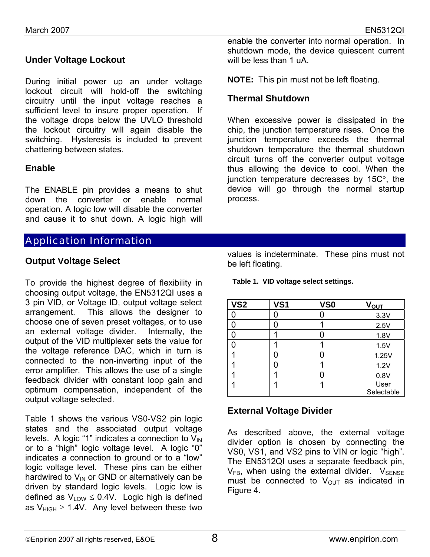## **Under Voltage Lockout**

During initial power up an under voltage lockout circuit will hold-off the switching circuitry until the input voltage reaches a sufficient level to insure proper operation. If the voltage drops below the UVLO threshold the lockout circuitry will again disable the switching. Hysteresis is included to prevent chattering between states.

#### **Enable**

The ENABLE pin provides a means to shut down the converter or enable normal operation. A logic low will disable the converter and cause it to shut down. A logic high will

# Application Information

#### **Output Voltage Select**

To provide the highest degree of flexibility in choosing output voltage, the EN5312QI uses a 3 pin VID, or Voltage ID, output voltage select arrangement. This allows the designer to choose one of seven preset voltages, or to use an external voltage divider. Internally, the output of the VID multiplexer sets the value for the voltage reference DAC, which in turn is connected to the non-inverting input of the error amplifier. This allows the use of a single feedback divider with constant loop gain and optimum compensation, independent of the output voltage selected.

Table 1 shows the various VS0-VS2 pin logic states and the associated output voltage levels. A logic "1" indicates a connection to  $V_{IN}$ or to a "high" logic voltage level. A logic "0" indicates a connection to ground or to a "low" logic voltage level. These pins can be either hardwired to  $V_{IN}$  or GND or alternatively can be driven by standard logic levels. Logic low is defined as  $V_{LOW} \leq 0.4V$ . Logic high is defined as  $V_{HIGH} \ge 1.4V$ . Any level between these two

enable the converter into normal operation. In shutdown mode, the device quiescent current will be less than 1 uA.

**NOTE:** This pin must not be left floating.

#### **Thermal Shutdown**

When excessive power is dissipated in the chip, the junction temperature rises. Once the junction temperature exceeds the thermal shutdown temperature the thermal shutdown circuit turns off the converter output voltage thus allowing the device to cool. When the junction temperature decreases by 15C°, the device will go through the normal startup process.

values is indeterminate. These pins must not be left floating.

**Table 1. VID voltage select settings.** 

| VS <sub>2</sub> | <b>VS1</b> | VS <sub>0</sub> | V <sub>OUT</sub> |
|-----------------|------------|-----------------|------------------|
|                 |            |                 | 3.3V             |
|                 | Ω          | ◢               | 2.5V             |
|                 |            | ი               | 1.8V             |
|                 |            |                 | 1.5V             |
|                 | 0          | ი               | 1.25V            |
|                 | Ω          |                 | 1.2V             |
|                 |            |                 | 0.8V             |
|                 |            |                 | User             |
|                 |            |                 | Selectable       |

#### **External Voltage Divider**

As described above, the external voltage divider option is chosen by connecting the VS0, VS1, and VS2 pins to VIN or logic "high". The EN5312QI uses a separate feedback pin,  $V_{FB}$ , when using the external divider.  $V_{SENSE}$ must be connected to  $V_{OUT}$  as indicated in Figure 4.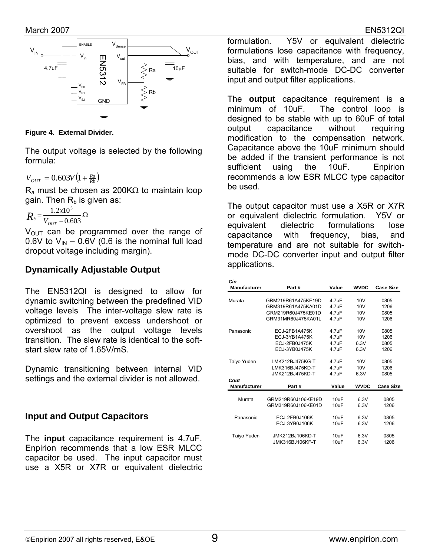

**Figure 4. External Divider.** 

The output voltage is selected by the following formula:

$$
V_{OUT} = 0.603V \left(1 + \frac{Ra}{Rb}\right)
$$

 $R_a$  must be chosen as 200K $\Omega$  to maintain loop gain. Then  $R_b$  is given as:

$$
R_{b} = \frac{1.2 \times 10^5}{V_{out} - 0.603} \Omega
$$

 $V_{\text{OUT}}$  can be programmed over the range of 0.6V to  $V_{\text{IN}}$  – 0.6V (0.6 is the nominal full load dropout voltage including margin).

### **Dynamically Adjustable Output**

The EN5312QI is designed to allow for dynamic switching between the predefined VID voltage levels The inter-voltage slew rate is optimized to prevent excess undershoot or overshoot as the output voltage levels transition. The slew rate is identical to the softstart slew rate of 1.65V/mS

Dynamic transitioning between internal VID settings and the external divider is not allowed.

#### **Input and Output Capacitors**

The **input** capacitance requirement is 4.7uF. Enpirion recommends that a low ESR MLCC capacitor be used. The input capacitor must use a X5R or X7R or equivalent dielectric

formulation. Y5V or equivalent dielectric formulations lose capacitance with frequency, bias, and with temperature, and are not suitable for switch-mode DC-DC converter input and output filter applications.

The **output** capacitance requirement is a minimum of 10uF. The control loop is designed to be stable with up to 60uF of total output capacitance without requiring modification to the compensation network. Capacitance above the 10uF minimum should be added if the transient performance is not sufficient using the 10uF. Enpirion recommends a low ESR MLCC type capacitor be used.

The output capacitor must use a X5R or X7R or equivalent dielectric formulation. Y5V or equivalent dielectric formulations lose capacitance with frequency, bias, and temperature and are not suitable for switchmode DC-DC converter input and output filter applications.

| Cin          |                    |                    |                 |                  |
|--------------|--------------------|--------------------|-----------------|------------------|
| Manufacturer | Part#              | Value              | <b>WVDC</b>     | <b>Case Size</b> |
|              |                    |                    |                 |                  |
| Murata       | GRM219R61A475KE19D | 4.7uF              | 10V             | 0805             |
|              | GRM319R61A475KA01D | 4.7 <sub>U</sub> F | 10V             | 1206             |
|              | GRM219R60J475KE01D | 4.7uF              | 10V             | 0805             |
|              | GRM31MR60J475KA01L | 4.7 <sub>U</sub> F | 10V             | 1206             |
| Panasonic    | ECJ-2FB1A475K      | 4.7uF              | 10V             | 0805             |
|              | ECJ-3YB1A475K      | 4.7uF              | 10 <sub>V</sub> | 1206             |
|              | ECJ-2FB0J475K      | 4.7 <sub>U</sub> F | 6.3V            | 0805             |
|              | ECJ-3YB0J475K      | 4.7 <sub>U</sub> F | 6.3V            | 1206             |
| Taiyo Yuden  | LMK212BJ475KG-T    | 4.7 <sub>U</sub> F | 10V             | 0805             |
|              | LMK316BJ475KD-T    | 4.7 <sub>U</sub> F | 10V             | 1206             |
|              | JMK212BJ475KD-T    | 4.7uF              | 6.3V            | 0805             |
| Cout         |                    |                    |                 |                  |
| Manufacturer | Part#              | Value              | <b>WVDC</b>     | <b>Case Size</b> |
|              |                    |                    |                 |                  |
| Murata       | GRM219R60J106KE19D | 10uF               | 6.3V            | 0805             |
|              | GRM319R60J106KE01D | 10uF               | 6.3V            | 1206             |
| Panasonic    | ECJ-2FB0J106K      | 10 <sub>U</sub> F  | 6.3V            | 0805             |
|              | ECJ-3YB0J106K      | 10uF               | 6.3V            | 1206             |
| Taiyo Yuden  | JMK212BJ106KD-T    | 10uF               | 6.3V            | 0805             |
|              | JMK316BJ106KF-T    | 10uF               | 6.3V            | 1206             |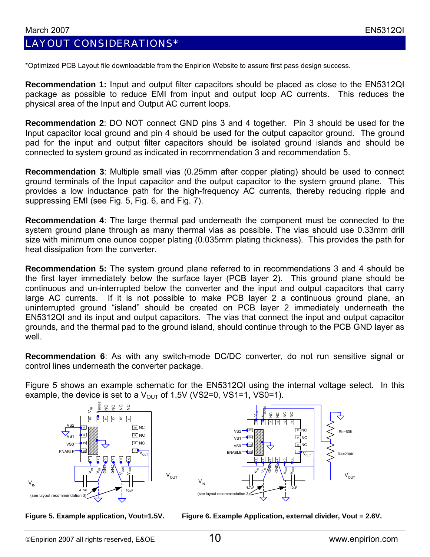# LAYOUT CONSIDERATIONS\*

\*Optimized PCB Layout file downloadable from the Enpirion Website to assure first pass design success.

**Recommendation 1:** Input and output filter capacitors should be placed as close to the EN5312QI package as possible to reduce EMI from input and output loop AC currents. This reduces the physical area of the Input and Output AC current loops.

**Recommendation 2**: DO NOT connect GND pins 3 and 4 together. Pin 3 should be used for the Input capacitor local ground and pin 4 should be used for the output capacitor ground. The ground pad for the input and output filter capacitors should be isolated ground islands and should be connected to system ground as indicated in recommendation 3 and recommendation 5.

**Recommendation 3**: Multiple small vias (0.25mm after copper plating) should be used to connect ground terminals of the Input capacitor and the output capacitor to the system ground plane. This provides a low inductance path for the high-frequency AC currents, thereby reducing ripple and suppressing EMI (see Fig. 5, Fig. 6, and Fig. 7).

**Recommendation 4**: The large thermal pad underneath the component must be connected to the system ground plane through as many thermal vias as possible. The vias should use 0.33mm drill size with minimum one ounce copper plating (0.035mm plating thickness). This provides the path for heat dissipation from the converter.

**Recommendation 5:** The system ground plane referred to in recommendations 3 and 4 should be the first layer immediately below the surface layer (PCB layer 2). This ground plane should be continuous and un-interrupted below the converter and the input and output capacitors that carry large AC currents. If it is not possible to make PCB layer 2 a continuous ground plane, an uninterrupted ground "island" should be created on PCB layer 2 immediately underneath the EN5312QI and its input and output capacitors. The vias that connect the input and output capacitor grounds, and the thermal pad to the ground island, should continue through to the PCB GND layer as well.

**Recommendation 6**: As with any switch-mode DC/DC converter, do not run sensitive signal or control lines underneath the converter package.

Figure 5 shows an example schematic for the EN5312QI using the internal voltage select. In this example, the device is set to a  $V_{\text{OUT}}$  of 1.5V (VS2=0, VS1=1, VS0=1).





Figure 5. Example application, Vout=1.5V. Figure 6. Example Application, external divider, Vout = 2.6V.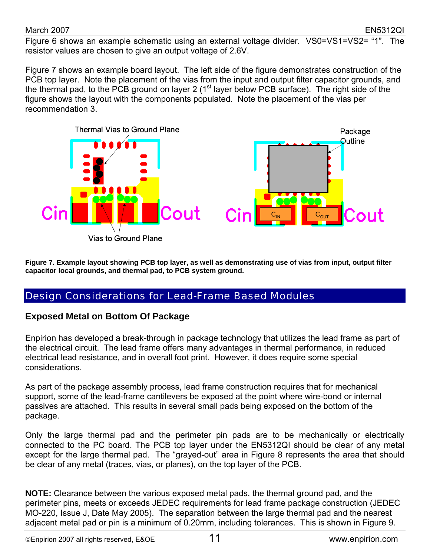Figure 6 shows an example schematic using an external voltage divider. VS0=VS1=VS2= "1". The resistor values are chosen to give an output voltage of 2.6V.

Figure 7 shows an example board layout. The left side of the figure demonstrates construction of the PCB top layer. Note the placement of the vias from the input and output filter capacitor grounds, and the thermal pad, to the PCB ground on layer 2 ( $1<sup>st</sup>$  layer below PCB surface). The right side of the figure shows the layout with the components populated. Note the placement of the vias per recommendation 3.



**igure 7. Example layout showing PCB top layer, as well as demonstrating use of vias from input, output filter F capacitor local grounds, and thermal pad, to PCB system ground.** 

# Design Considerations for Lead-Frame Based Modules

### **Exposed Metal on Bottom Of Package**

Enpirion has developed a break-through in package technology that utilizes the lead frame as part of the electrical circuit. The lead frame offers many advantages in thermal performance, in reduced electrical lead resistance, and in overall foot print. However, it does require some special considerations.

As part of the package assembly process, lead frame construction requires that for mechanical support, some of the lead-frame cantilevers be exposed at the point where wire-bond or internal passives are attached. This results in several small pads being exposed on the bottom of the package.

Only the large thermal pad and the perimeter pin pads are to be mechanically or electrically connected to the PC board. The PCB top layer under the EN5312QI should be clear of any metal except for the large thermal pad. The "grayed-out" area in Figure 8 represents the area that should be clear of any metal (traces, vias, or planes), on the top layer of the PCB.

**OTE:** Clearance between the various exposed metal pads, the thermal ground pad, and the **N** perimeter pins, meets or exceeds JEDEC requirements for lead frame package construction (JEDEC MO-220, Issue J, Date May 2005). The separation between the large thermal pad and the nearest adjacent metal pad or pin is a minimum of 0.20mm, including tolerances. This is shown in Figure 9.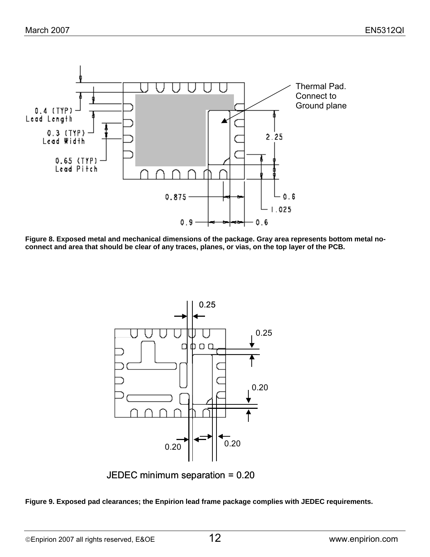

**Figure 8. Exposed metal and mechanical dimensions of the package. Gray area represents bottom metal noconnect and area that should be clear of any traces, planes, or vias, on the top layer of the PCB.** 



JEDEC minimum separation = 0.20

**Figure 9. Exposed pad clearances; the Enpirion lead frame package complies with JEDEC requirements.**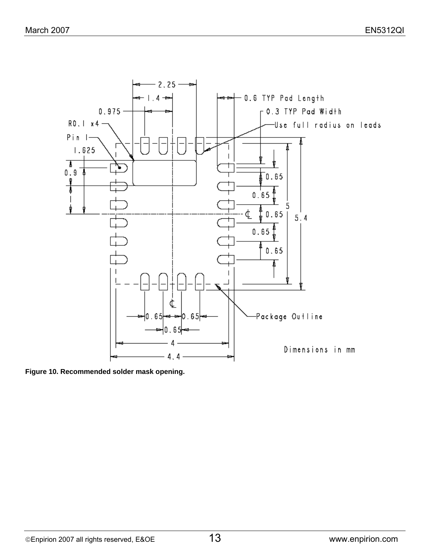

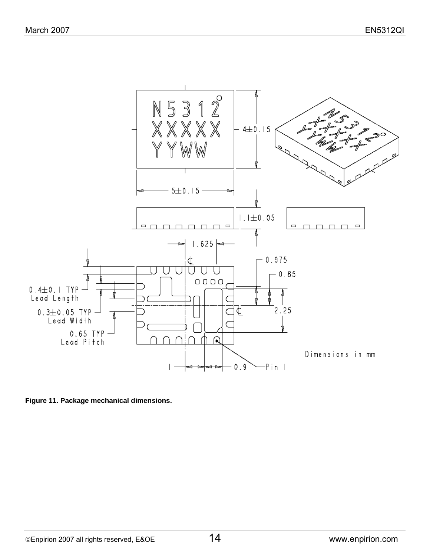

**Figure 11. Package mechanical dimensions.**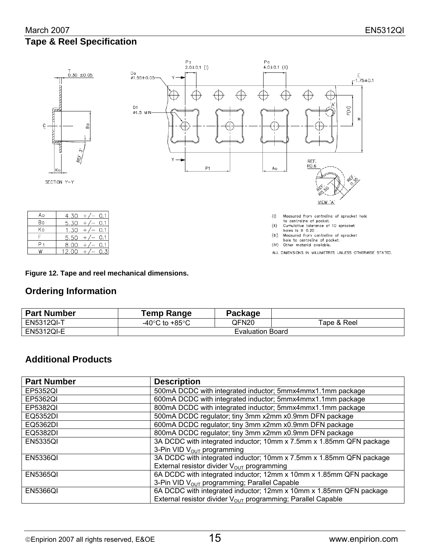#### March 2007 EN5312QI **Tape & Reel Specification**



#### **Figure 12. Tape and reel mechanical dimensions.**

### **Ordering Information**

| <b>Part Number</b> | Temp Range                         | Package |             |  |  |
|--------------------|------------------------------------|---------|-------------|--|--|
| <b>EN5312QI-T</b>  | -40 $\degree$ C to +85 $\degree$ C | QFN20   | Tape & Reel |  |  |
| <b>EN5312QI-E</b>  | <b>Evaluation Board</b>            |         |             |  |  |

### **Additional Products**

| <b>Part Number</b> | <b>Description</b>                                                       |
|--------------------|--------------------------------------------------------------------------|
| EP5352QI           | 500mA DCDC with integrated inductor; 5mmx4mmx1.1mm package               |
| EP5362QI           | 600mA DCDC with integrated inductor; 5mmx4mmx1.1mm package               |
| EP5382QI           | 800mA DCDC with integrated inductor; 5mmx4mmx1.1mm package               |
| EQ5352DI           | 500mA DCDC regulator; tiny 3mm x2mm x0.9mm DFN package                   |
| EQ5362DI           | 600mA DCDC regulator; tiny 3mm x2mm x0.9mm DFN package                   |
| EQ5382DI           | 800mA DCDC regulator; tiny 3mm x2mm x0.9mm DFN package                   |
| <b>EN5335QI</b>    | 3A DCDC with integrated inductor; 10mm x 7.5mm x 1.85mm QFN package      |
|                    | 3-Pin VID V <sub>OUT</sub> programming                                   |
| <b>EN5336QI</b>    | 3A DCDC with integrated inductor; 10mm x 7.5mm x 1.85mm QFN package      |
|                    | External resistor divider V <sub>OUT</sub> programming                   |
| <b>EN5365QI</b>    | 6A DCDC with integrated inductor; 12mm x 10mm x 1.85mm QFN package       |
|                    | 3-Pin VID V <sub>OUT</sub> programming; Parallel Capable                 |
| <b>EN5366QI</b>    | 6A DCDC with integrated inductor; 12mm x 10mm x 1.85mm QFN package       |
|                    | External resistor divider V <sub>OUT</sub> programming; Parallel Capable |